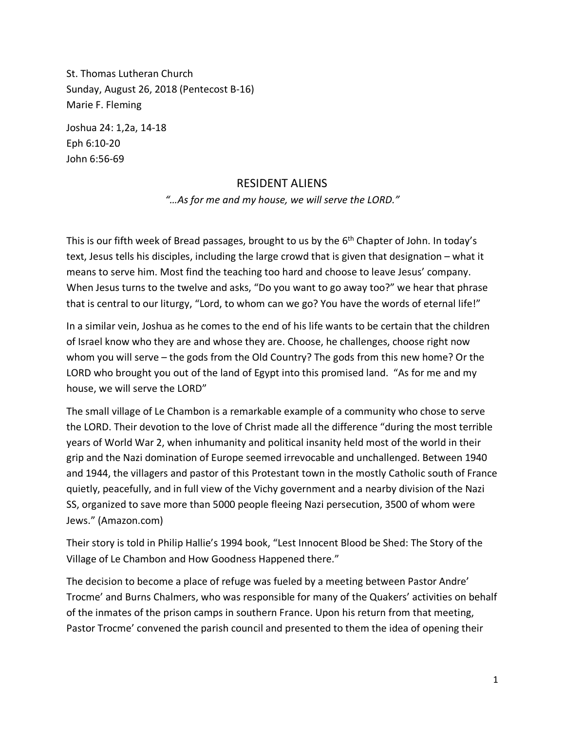St. Thomas Lutheran Church Sunday, August 26, 2018 (Pentecost B-16) Marie F. Fleming

Joshua 24: 1,2a, 14-18 Eph 6:10-20 John 6:56-69

## RESIDENT ALIENS

*"…As for me and my house, we will serve the LORD."*

This is our fifth week of Bread passages, brought to us by the  $6<sup>th</sup>$  Chapter of John. In today's text, Jesus tells his disciples, including the large crowd that is given that designation – what it means to serve him. Most find the teaching too hard and choose to leave Jesus' company. When Jesus turns to the twelve and asks, "Do you want to go away too?" we hear that phrase that is central to our liturgy, "Lord, to whom can we go? You have the words of eternal life!"

In a similar vein, Joshua as he comes to the end of his life wants to be certain that the children of Israel know who they are and whose they are. Choose, he challenges, choose right now whom you will serve – the gods from the Old Country? The gods from this new home? Or the LORD who brought you out of the land of Egypt into this promised land. "As for me and my house, we will serve the LORD"

The small village of Le Chambon is a remarkable example of a community who chose to serve the LORD. Their devotion to the love of Christ made all the difference "during the most terrible years of World War 2, when inhumanity and political insanity held most of the world in their grip and the Nazi domination of Europe seemed irrevocable and unchallenged. Between 1940 and 1944, the villagers and pastor of this Protestant town in the mostly Catholic south of France quietly, peacefully, and in full view of the Vichy government and a nearby division of the Nazi SS, organized to save more than 5000 people fleeing Nazi persecution, 3500 of whom were Jews." (Amazon.com)

Their story is told in Philip Hallie's 1994 book, "Lest Innocent Blood be Shed: The Story of the Village of Le Chambon and How Goodness Happened there."

The decision to become a place of refuge was fueled by a meeting between Pastor Andre' Trocme' and Burns Chalmers, who was responsible for many of the Quakers' activities on behalf of the inmates of the prison camps in southern France. Upon his return from that meeting, Pastor Trocme' convened the parish council and presented to them the idea of opening their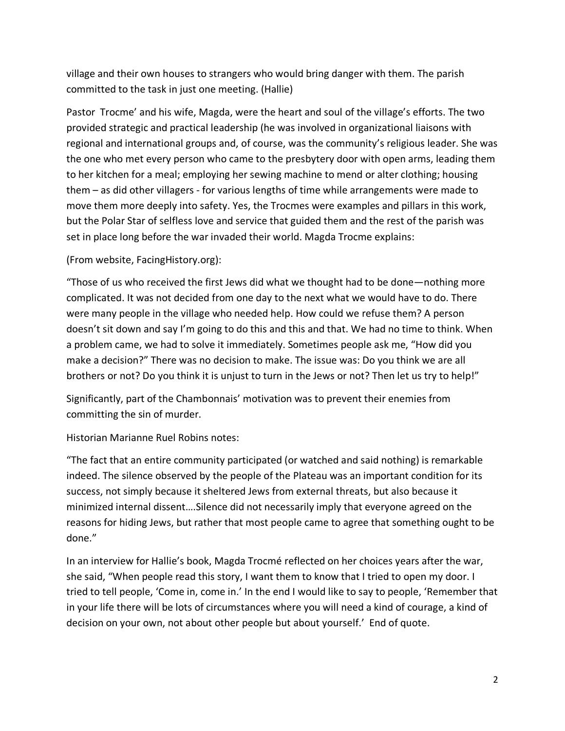village and their own houses to strangers who would bring danger with them. The parish committed to the task in just one meeting. (Hallie)

Pastor Trocme' and his wife, Magda, were the heart and soul of the village's efforts. The two provided strategic and practical leadership (he was involved in organizational liaisons with regional and international groups and, of course, was the community's religious leader. She was the one who met every person who came to the presbytery door with open arms, leading them to her kitchen for a meal; employing her sewing machine to mend or alter clothing; housing them – as did other villagers - for various lengths of time while arrangements were made to move them more deeply into safety. Yes, the Trocmes were examples and pillars in this work, but the Polar Star of selfless love and service that guided them and the rest of the parish was set in place long before the war invaded their world. Magda Trocme explains:

(From website, FacingHistory.org):

"Those of us who received the first Jews did what we thought had to be done—nothing more complicated. It was not decided from one day to the next what we would have to do. There were many people in the village who needed help. How could we refuse them? A person doesn't sit down and say I'm going to do this and this and that. We had no time to think. When a problem came, we had to solve it immediately. Sometimes people ask me, "How did you make a decision?" There was no decision to make. The issue was: Do you think we are all brothers or not? Do you think it is unjust to turn in the Jews or not? Then let us try to help!"

Significantly, part of the Chambonnais' motivation was to prevent their enemies from committing the sin of murder.

Historian Marianne Ruel Robins notes:

"The fact that an entire community participated (or watched and said nothing) is remarkable indeed. The silence observed by the people of the Plateau was an important condition for its success, not simply because it sheltered Jews from external threats, but also because it minimized internal dissent….Silence did not necessarily imply that everyone agreed on the reasons for hiding Jews, but rather that most people came to agree that something ought to be done."

In an interview for Hallie's book, Magda Trocmé reflected on her choices years after the war, she said, "When people read this story, I want them to know that I tried to open my door. I tried to tell people, 'Come in, come in.' In the end I would like to say to people, 'Remember that in your life there will be lots of circumstances where you will need a kind of courage, a kind of decision on your own, not about other people but about yourself.' End of quote.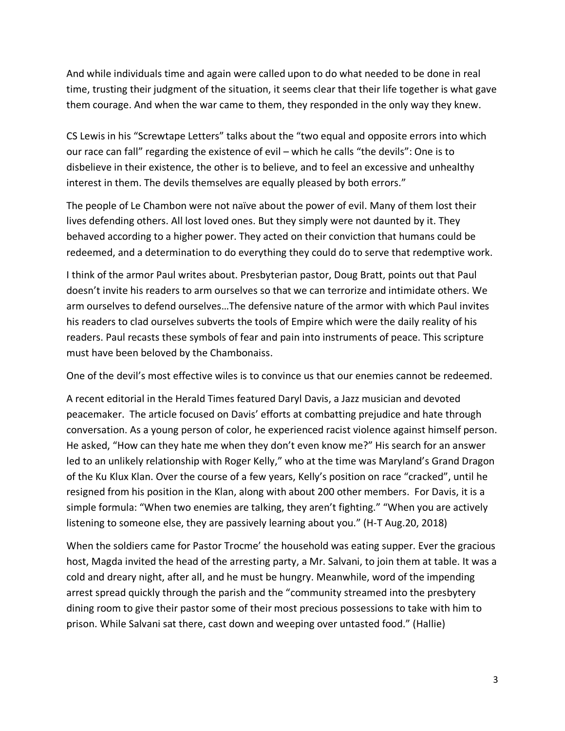And while individuals time and again were called upon to do what needed to be done in real time, trusting their judgment of the situation, it seems clear that their life together is what gave them courage. And when the war came to them, they responded in the only way they knew.

CS Lewis in his "Screwtape Letters" talks about the "two equal and opposite errors into which our race can fall" regarding the existence of evil – which he calls "the devils": One is to disbelieve in their existence, the other is to believe, and to feel an excessive and unhealthy interest in them. The devils themselves are equally pleased by both errors."

The people of Le Chambon were not naïve about the power of evil. Many of them lost their lives defending others. All lost loved ones. But they simply were not daunted by it. They behaved according to a higher power. They acted on their conviction that humans could be redeemed, and a determination to do everything they could do to serve that redemptive work.

I think of the armor Paul writes about. Presbyterian pastor, Doug Bratt, points out that Paul doesn't invite his readers to arm ourselves so that we can terrorize and intimidate others. We arm ourselves to defend ourselves…The defensive nature of the armor with which Paul invites his readers to clad ourselves subverts the tools of Empire which were the daily reality of his readers. Paul recasts these symbols of fear and pain into instruments of peace. This scripture must have been beloved by the Chambonaiss.

One of the devil's most effective wiles is to convince us that our enemies cannot be redeemed.

A recent editorial in the Herald Times featured Daryl Davis, a Jazz musician and devoted peacemaker. The article focused on Davis' efforts at combatting prejudice and hate through conversation. As a young person of color, he experienced racist violence against himself person. He asked, "How can they hate me when they don't even know me?" His search for an answer led to an unlikely relationship with Roger Kelly," who at the time was Maryland's Grand Dragon of the Ku Klux Klan. Over the course of a few years, Kelly's position on race "cracked", until he resigned from his position in the Klan, along with about 200 other members. For Davis, it is a simple formula: "When two enemies are talking, they aren't fighting." "When you are actively listening to someone else, they are passively learning about you." (H-T Aug.20, 2018)

When the soldiers came for Pastor Trocme' the household was eating supper. Ever the gracious host, Magda invited the head of the arresting party, a Mr. Salvani, to join them at table. It was a cold and dreary night, after all, and he must be hungry. Meanwhile, word of the impending arrest spread quickly through the parish and the "community streamed into the presbytery dining room to give their pastor some of their most precious possessions to take with him to prison. While Salvani sat there, cast down and weeping over untasted food." (Hallie)